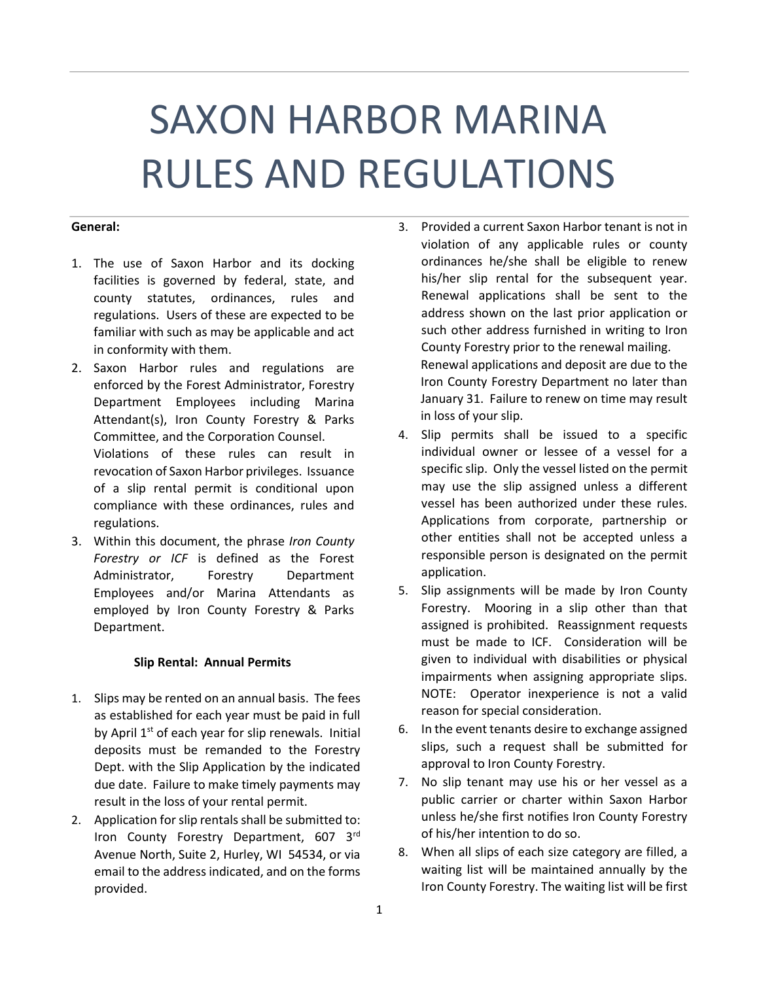# SAXON HARBOR MARINA RULES AND REGULATIONS

## **General:**

- 1. The use of Saxon Harbor and its docking facilities is governed by federal, state, and county statutes, ordinances, rules and regulations. Users of these are expected to be familiar with such as may be applicable and act in conformity with them.
- 2. Saxon Harbor rules and regulations are enforced by the Forest Administrator, Forestry Department Employees including Marina Attendant(s), Iron County Forestry & Parks Committee, and the Corporation Counsel. Violations of these rules can result in revocation of Saxon Harbor privileges. Issuance of a slip rental permit is conditional upon compliance with these ordinances, rules and regulations.
- 3. Within this document, the phrase *Iron County Forestry or ICF* is defined as the Forest Administrator, Forestry Department Employees and/or Marina Attendants as employed by Iron County Forestry & Parks Department.

# **Slip Rental: Annual Permits**

- 1. Slips may be rented on an annual basis. The fees as established for each year must be paid in full by April 1<sup>st</sup> of each year for slip renewals. Initial deposits must be remanded to the Forestry Dept. with the Slip Application by the indicated due date. Failure to make timely payments may result in the loss of your rental permit.
- 2. Application for slip rentals shall be submitted to: Iron County Forestry Department, 607 3rd Avenue North, Suite 2, Hurley, WI 54534, or via email to the address indicated, and on the forms provided.
- 3. Provided a current Saxon Harbor tenant is not in violation of any applicable rules or county ordinances he/she shall be eligible to renew his/her slip rental for the subsequent year. Renewal applications shall be sent to the address shown on the last prior application or such other address furnished in writing to Iron County Forestry prior to the renewal mailing. Renewal applications and deposit are due to the Iron County Forestry Department no later than January 31. Failure to renew on time may result in loss of your slip.
- 4. Slip permits shall be issued to a specific individual owner or lessee of a vessel for a specific slip. Only the vessel listed on the permit may use the slip assigned unless a different vessel has been authorized under these rules. Applications from corporate, partnership or other entities shall not be accepted unless a responsible person is designated on the permit application.
- 5. Slip assignments will be made by Iron County Forestry. Mooring in a slip other than that assigned is prohibited. Reassignment requests must be made to ICF. Consideration will be given to individual with disabilities or physical impairments when assigning appropriate slips. NOTE: Operator inexperience is not a valid reason for special consideration.
- 6. In the event tenants desire to exchange assigned slips, such a request shall be submitted for approval to Iron County Forestry.
- 7. No slip tenant may use his or her vessel as a public carrier or charter within Saxon Harbor unless he/she first notifies Iron County Forestry of his/her intention to do so.
- 8. When all slips of each size category are filled, a waiting list will be maintained annually by the Iron County Forestry. The waiting list will be first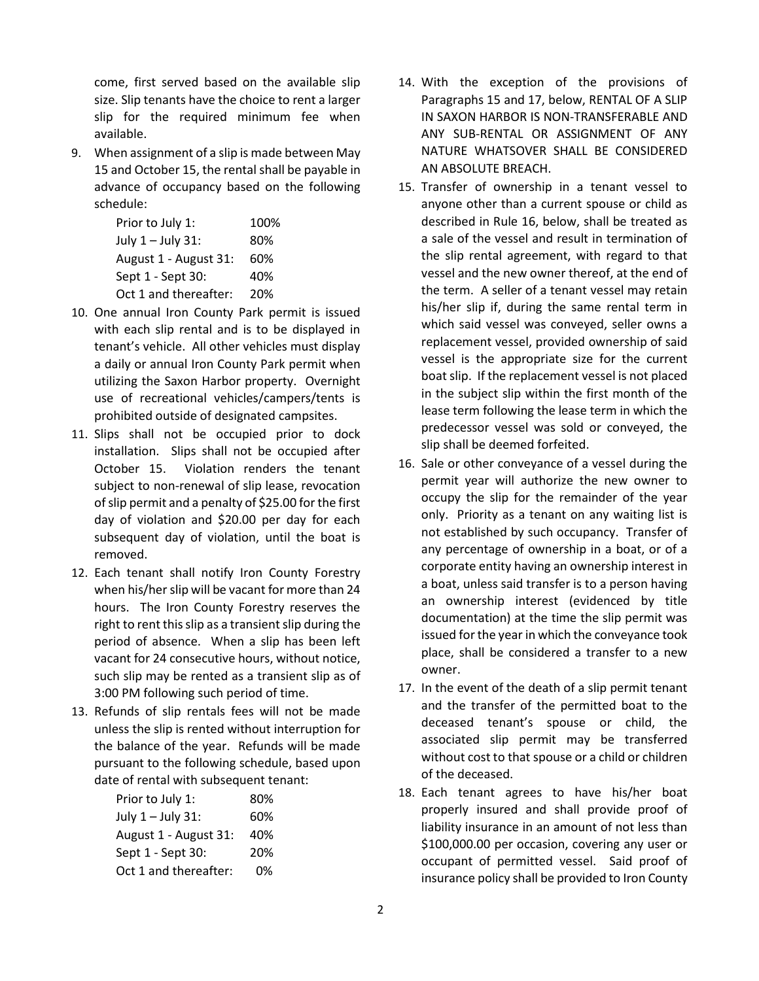come, first served based on the available slip size. Slip tenants have the choice to rent a larger slip for the required minimum fee when available.

9. When assignment of a slip is made between May 15 and October 15, the rental shall be payable in advance of occupancy based on the following schedule:

| Prior to July 1:      | 100% |
|-----------------------|------|
| July 1 - July 31:     | 80%  |
| August 1 - August 31: | 60%  |
| Sept 1 - Sept 30:     | 40%  |
| Oct 1 and thereafter: | 20%  |
|                       |      |

- 10. One annual Iron County Park permit is issued with each slip rental and is to be displayed in tenant's vehicle. All other vehicles must display a daily or annual Iron County Park permit when utilizing the Saxon Harbor property. Overnight use of recreational vehicles/campers/tents is prohibited outside of designated campsites.
- 11. Slips shall not be occupied prior to dock installation. Slips shall not be occupied after October 15. Violation renders the tenant subject to non-renewal of slip lease, revocation of slip permit and a penalty of \$25.00 for the first day of violation and \$20.00 per day for each subsequent day of violation, until the boat is removed.
- 12. Each tenant shall notify Iron County Forestry when his/her slip will be vacant for more than 24 hours. The Iron County Forestry reserves the right to rent this slip as a transient slip during the period of absence. When a slip has been left vacant for 24 consecutive hours, without notice, such slip may be rented as a transient slip as of 3:00 PM following such period of time.
- 13. Refunds of slip rentals fees will not be made unless the slip is rented without interruption for the balance of the year. Refunds will be made pursuant to the following schedule, based upon date of rental with subsequent tenant:

| Prior to July 1:      | 80% |
|-----------------------|-----|
| July 1 - July 31:     | 60% |
| August 1 - August 31: | 40% |
| Sept 1 - Sept 30:     | 20% |
| Oct 1 and thereafter: | 0%  |

- 14. With the exception of the provisions of Paragraphs 15 and 17, below, RENTAL OF A SLIP IN SAXON HARBOR IS NON-TRANSFERABLE AND ANY SUB-RENTAL OR ASSIGNMENT OF ANY NATURE WHATSOVER SHALL BE CONSIDERED AN ABSOLUTE BREACH.
- 15. Transfer of ownership in a tenant vessel to anyone other than a current spouse or child as described in Rule 16, below, shall be treated as a sale of the vessel and result in termination of the slip rental agreement, with regard to that vessel and the new owner thereof, at the end of the term. A seller of a tenant vessel may retain his/her slip if, during the same rental term in which said vessel was conveyed, seller owns a replacement vessel, provided ownership of said vessel is the appropriate size for the current boat slip. If the replacement vessel is not placed in the subject slip within the first month of the lease term following the lease term in which the predecessor vessel was sold or conveyed, the slip shall be deemed forfeited.
- 16. Sale or other conveyance of a vessel during the permit year will authorize the new owner to occupy the slip for the remainder of the year only. Priority as a tenant on any waiting list is not established by such occupancy. Transfer of any percentage of ownership in a boat, or of a corporate entity having an ownership interest in a boat, unless said transfer is to a person having an ownership interest (evidenced by title documentation) at the time the slip permit was issued for the year in which the conveyance took place, shall be considered a transfer to a new owner.
- 17. In the event of the death of a slip permit tenant and the transfer of the permitted boat to the deceased tenant's spouse or child, the associated slip permit may be transferred without cost to that spouse or a child or children of the deceased.
- 18. Each tenant agrees to have his/her boat properly insured and shall provide proof of liability insurance in an amount of not less than \$100,000.00 per occasion, covering any user or occupant of permitted vessel. Said proof of insurance policy shall be provided to Iron County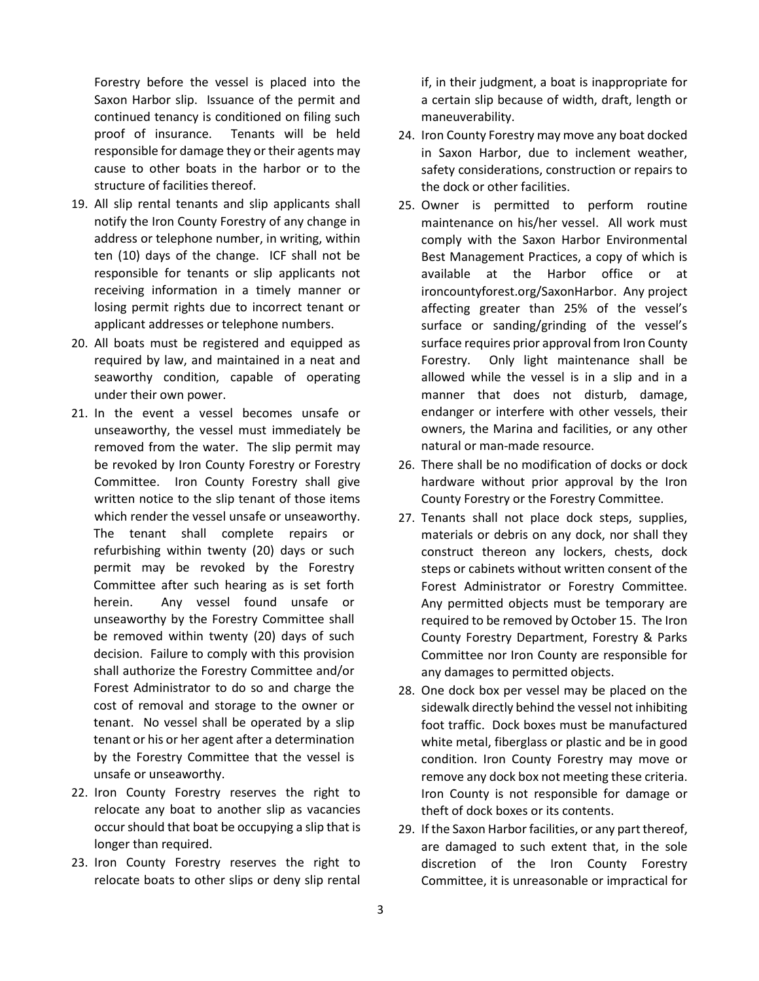Forestry before the vessel is placed into the Saxon Harbor slip. Issuance of the permit and continued tenancy is conditioned on filing such proof of insurance. Tenants will be held responsible for damage they or their agents may cause to other boats in the harbor or to the structure of facilities thereof.

- 19. All slip rental tenants and slip applicants shall notify the Iron County Forestry of any change in address or telephone number, in writing, within ten (10) days of the change. ICF shall not be responsible for tenants or slip applicants not receiving information in a timely manner or losing permit rights due to incorrect tenant or applicant addresses or telephone numbers.
- 20. All boats must be registered and equipped as required by law, and maintained in a neat and seaworthy condition, capable of operating under their own power.
- 21. In the event a vessel becomes unsafe or unseaworthy, the vessel must immediately be removed from the water. The slip permit may be revoked by Iron County Forestry or Forestry Committee. Iron County Forestry shall give written notice to the slip tenant of those items which render the vessel unsafe or unseaworthy. The tenant shall complete repairs or refurbishing within twenty (20) days or such permit may be revoked by the Forestry Committee after such hearing as is set forth herein. Any vessel found unsafe or unseaworthy by the Forestry Committee shall be removed within twenty (20) days of such decision. Failure to comply with this provision shall authorize the Forestry Committee and/or Forest Administrator to do so and charge the cost of removal and storage to the owner or tenant. No vessel shall be operated by a slip tenant or his or her agent after a determination by the Forestry Committee that the vessel is unsafe or unseaworthy.
- 22. Iron County Forestry reserves the right to relocate any boat to another slip as vacancies occur should that boat be occupying a slip that is longer than required.
- 23. Iron County Forestry reserves the right to relocate boats to other slips or deny slip rental

if, in their judgment, a boat is inappropriate for a certain slip because of width, draft, length or maneuverability.

- 24. Iron County Forestry may move any boat docked in Saxon Harbor, due to inclement weather, safety considerations, construction or repairs to the dock or other facilities.
- 25. Owner is permitted to perform routine maintenance on his/her vessel. All work must comply with the Saxon Harbor Environmental Best Management Practices, a copy of which is available at the Harbor office or at ironcountyforest.org/SaxonHarbor. Any project affecting greater than 25% of the vessel's surface or sanding/grinding of the vessel's surface requires prior approval from Iron County Forestry. Only light maintenance shall be allowed while the vessel is in a slip and in a manner that does not disturb, damage, endanger or interfere with other vessels, their owners, the Marina and facilities, or any other natural or man-made resource.
- 26. There shall be no modification of docks or dock hardware without prior approval by the Iron County Forestry or the Forestry Committee.
- 27. Tenants shall not place dock steps, supplies, materials or debris on any dock, nor shall they construct thereon any lockers, chests, dock steps or cabinets without written consent of the Forest Administrator or Forestry Committee. Any permitted objects must be temporary are required to be removed by October 15. The Iron County Forestry Department, Forestry & Parks Committee nor Iron County are responsible for any damages to permitted objects.
- 28. One dock box per vessel may be placed on the sidewalk directly behind the vessel not inhibiting foot traffic. Dock boxes must be manufactured white metal, fiberglass or plastic and be in good condition. Iron County Forestry may move or remove any dock box not meeting these criteria. Iron County is not responsible for damage or theft of dock boxes or its contents.
- 29. If the Saxon Harbor facilities, or any part thereof, are damaged to such extent that, in the sole discretion of the Iron County Forestry Committee, it is unreasonable or impractical for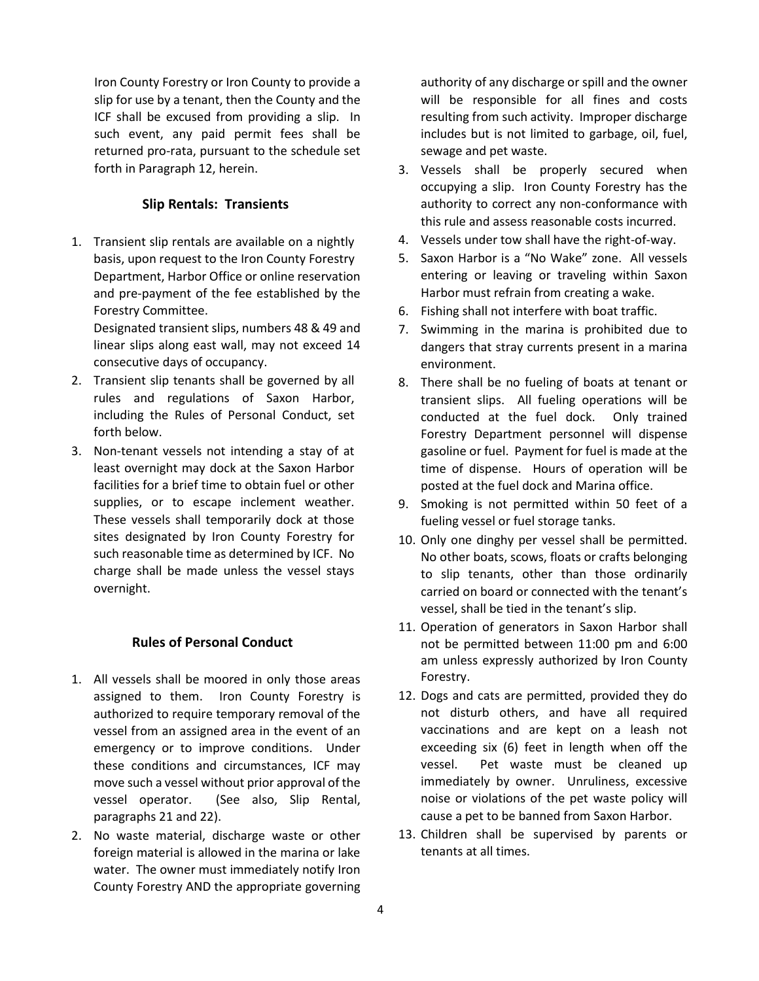Iron County Forestry or Iron County to provide a slip for use by a tenant, then the County and the ICF shall be excused from providing a slip. In such event, any paid permit fees shall be returned pro-rata, pursuant to the schedule set forth in Paragraph 12, herein.

# **Slip Rentals: Transients**

1. Transient slip rentals are available on a nightly basis, upon request to the Iron County Forestry Department, Harbor Office or online reservation and pre-payment of the fee established by the Forestry Committee.

Designated transient slips, numbers 48 & 49 and linear slips along east wall, may not exceed 14 consecutive days of occupancy.

- 2. Transient slip tenants shall be governed by all rules and regulations of Saxon Harbor, including the Rules of Personal Conduct, set forth below.
- 3. Non-tenant vessels not intending a stay of at least overnight may dock at the Saxon Harbor facilities for a brief time to obtain fuel or other supplies, or to escape inclement weather. These vessels shall temporarily dock at those sites designated by Iron County Forestry for such reasonable time as determined by ICF. No charge shall be made unless the vessel stays overnight.

## **Rules of Personal Conduct**

- 1. All vessels shall be moored in only those areas assigned to them. Iron County Forestry is authorized to require temporary removal of the vessel from an assigned area in the event of an emergency or to improve conditions. Under these conditions and circumstances, ICF may move such a vessel without prior approval of the vessel operator. (See also, Slip Rental, paragraphs 21 and 22).
- 2. No waste material, discharge waste or other foreign material is allowed in the marina or lake water. The owner must immediately notify Iron County Forestry AND the appropriate governing

authority of any discharge or spill and the owner will be responsible for all fines and costs resulting from such activity. Improper discharge includes but is not limited to garbage, oil, fuel, sewage and pet waste.

- 3. Vessels shall be properly secured when occupying a slip. Iron County Forestry has the authority to correct any non-conformance with this rule and assess reasonable costs incurred.
- 4. Vessels under tow shall have the right-of-way.
- 5. Saxon Harbor is a "No Wake" zone. All vessels entering or leaving or traveling within Saxon Harbor must refrain from creating a wake.
- 6. Fishing shall not interfere with boat traffic.
- 7. Swimming in the marina is prohibited due to dangers that stray currents present in a marina environment.
- 8. There shall be no fueling of boats at tenant or transient slips. All fueling operations will be conducted at the fuel dock. Only trained Forestry Department personnel will dispense gasoline or fuel. Payment for fuel is made at the time of dispense. Hours of operation will be posted at the fuel dock and Marina office.
- 9. Smoking is not permitted within 50 feet of a fueling vessel or fuel storage tanks.
- 10. Only one dinghy per vessel shall be permitted. No other boats, scows, floats or crafts belonging to slip tenants, other than those ordinarily carried on board or connected with the tenant's vessel, shall be tied in the tenant's slip.
- 11. Operation of generators in Saxon Harbor shall not be permitted between 11:00 pm and 6:00 am unless expressly authorized by Iron County Forestry.
- 12. Dogs and cats are permitted, provided they do not disturb others, and have all required vaccinations and are kept on a leash not exceeding six (6) feet in length when off the vessel. Pet waste must be cleaned up immediately by owner. Unruliness, excessive noise or violations of the pet waste policy will cause a pet to be banned from Saxon Harbor.
- 13. Children shall be supervised by parents or tenants at all times.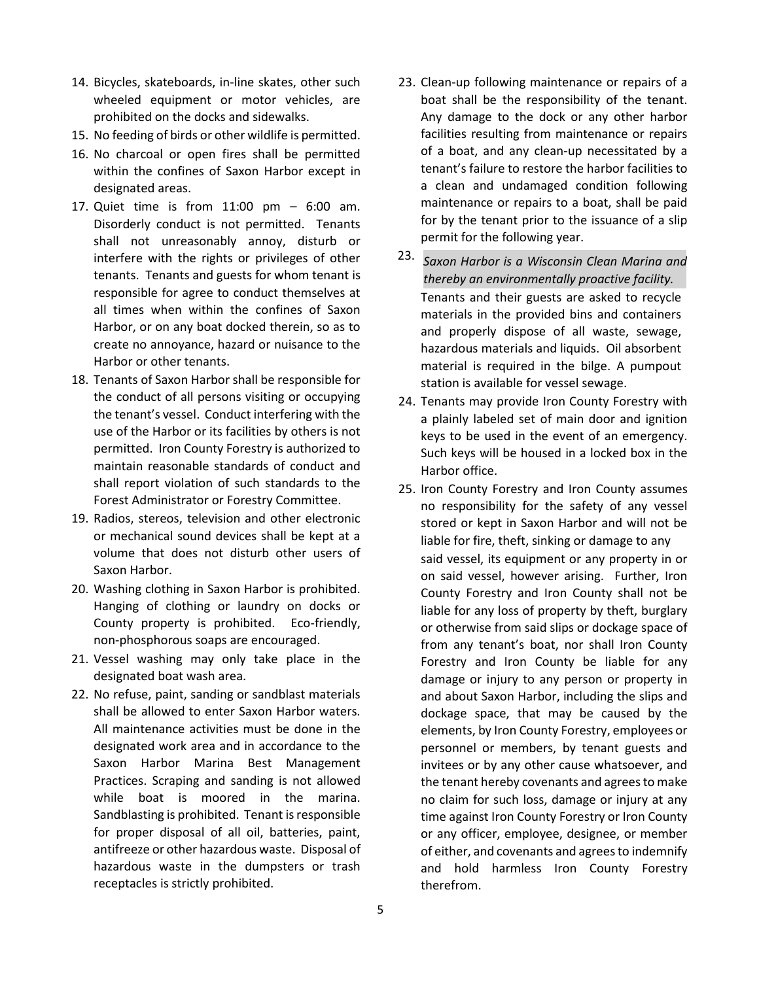- 14. Bicycles, skateboards, in-line skates, other such wheeled equipment or motor vehicles, are prohibited on the docks and sidewalks.
- 15. No feeding of birds or other wildlife is permitted.
- 16. No charcoal or open fires shall be permitted within the confines of Saxon Harbor except in designated areas.
- 17. Quiet time is from 11:00 pm 6:00 am. Disorderly conduct is not permitted. Tenants shall not unreasonably annoy, disturb or interfere with the rights or privileges of other tenants. Tenants and guests for whom tenant is responsible for agree to conduct themselves at all times when within the confines of Saxon Harbor, or on any boat docked therein, so as to create no annoyance, hazard or nuisance to the Harbor or other tenants.
- 18. Tenants of Saxon Harbor shall be responsible for the conduct of all persons visiting or occupying the tenant's vessel. Conduct interfering with the use of the Harbor or its facilities by others is not permitted. Iron County Forestry is authorized to maintain reasonable standards of conduct and shall report violation of such standards to the Forest Administrator or Forestry Committee.
- 19. Radios, stereos, television and other electronic or mechanical sound devices shall be kept at a volume that does not disturb other users of Saxon Harbor.
- 20. Washing clothing in Saxon Harbor is prohibited. Hanging of clothing or laundry on docks or County property is prohibited. Eco-friendly, non-phosphorous soaps are encouraged.
- 21. Vessel washing may only take place in the designated boat wash area.
- 22. No refuse, paint, sanding or sandblast materials shall be allowed to enter Saxon Harbor waters. All maintenance activities must be done in the designated work area and in accordance to the Saxon Harbor Marina Best Management Practices. Scraping and sanding is not allowed while boat is moored in the marina. Sandblasting is prohibited. Tenant is responsible for proper disposal of all oil, batteries, paint, antifreeze or other hazardous waste. Disposal of hazardous waste in the dumpsters or trash receptacles is strictly prohibited.
- 23. Clean-up following maintenance or repairs of a boat shall be the responsibility of the tenant. Any damage to the dock or any other harbor facilities resulting from maintenance or repairs of a boat, and any clean-up necessitated by a tenant's failure to restore the harbor facilities to a clean and undamaged condition following maintenance or repairs to a boat, shall be paid for by the tenant prior to the issuance of a slip permit for the following year.
- 23. *Saxon Harbor is a Wisconsin Clean Marina and thereby an environmentally proactive facility.*Tenants and their guests are asked to recycle materials in the provided bins and containers and properly dispose of all waste, sewage, hazardous materials and liquids. Oil absorbent material is required in the bilge. A pumpout station is available for vessel sewage.
- 24. Tenants may provide Iron County Forestry with a plainly labeled set of main door and ignition keys to be used in the event of an emergency. Such keys will be housed in a locked box in the Harbor office.
- 25. Iron County Forestry and Iron County assumes no responsibility for the safety of any vessel stored or kept in Saxon Harbor and will not be liable for fire, theft, sinking or damage to any said vessel, its equipment or any property in or on said vessel, however arising. Further, Iron County Forestry and Iron County shall not be liable for any loss of property by theft, burglary or otherwise from said slips or dockage space of from any tenant's boat, nor shall Iron County Forestry and Iron County be liable for any damage or injury to any person or property in and about Saxon Harbor, including the slips and dockage space, that may be caused by the elements, by Iron County Forestry, employees or personnel or members, by tenant guests and invitees or by any other cause whatsoever, and the tenant hereby covenants and agrees to make no claim for such loss, damage or injury at any time against Iron County Forestry or Iron County or any officer, employee, designee, or member of either, and covenants and agrees to indemnify and hold harmless Iron County Forestry therefrom.